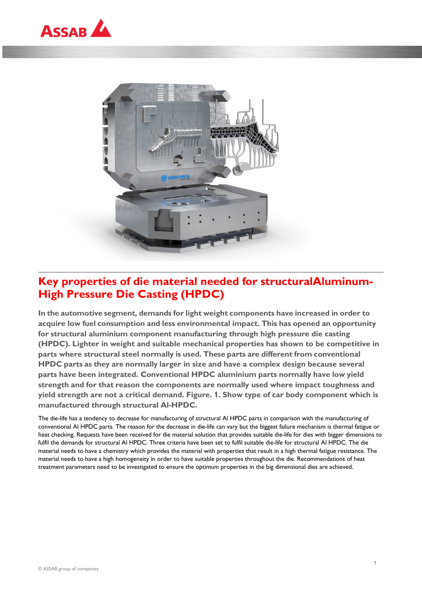



# **Key properties of die material needed for structuralAluminum-High Pressure Die Casting (HPDC)**

**In the automotive segment, demands for light weight components have increased in order to acquire low fuel consumption and less environmental impact. This has opened an opportunity for structural aluminium component manufacturing through high pressure die casting (HPDC). Lighter in weight and suitable mechanical properties has shown to be competitive in parts where structural steel normally is used. These parts are different from conventional HPDC parts as they are normally larger in size and have a complex design because several parts have been integrated. Conventional HPDC aluminium parts normally have low yield strength and for that reason the components are normally used where impact toughness and yield strength are not a critical demand. Figure. 1. Show type of car body component which is manufactured through structural Al-HPDC.**

The die-life has a tendency to decrease for manufacturing of structural Al HPDC parts in comparison with the manufacturing of conventional Al HPDC parts. The reason for the decrease in die-life can vary but the biggest failure mechanism is thermal fatigue or heat checking. Requests have been received for die material solution that provides suitable die-life for dies with bigger dimensions to fulfil the demands for structural Al HPDC. Three criteria have been set to fulfil suitable die-life for structural Al HPDC. The die material needs to have a chemistry which provides the material with properties that result in a high thermal fatigue resistance. The material needs to have a high homogeneity in order to have suitable properties throughout the die. Recommendations of heat treatment parameters need to be investigated to ensure the optimum properties in the big dimensional dies are achieved.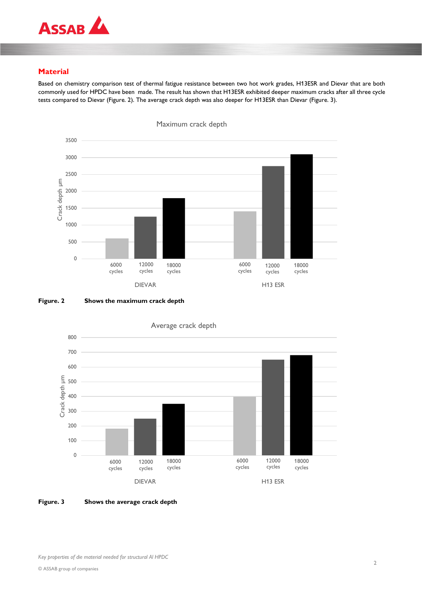

# **Material**

Based on chemistry comparison test of thermal fatigue resistance between two hot work grades, H13ESR and Dievar that are both commonly used for HPDC have been made. The result has shown that H13ESR exhibited deeper maximum cracks after all three cycle tests compared to Dievar (Figure. 2). The average crack depth was also deeper for H13ESR than Dievar (Figure. 3).









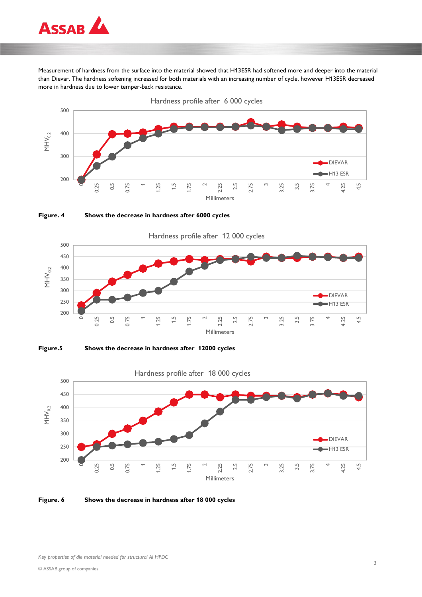

Measurement of hardness from the surface into the material showed that H13ESR had softened more and deeper into the material than Dievar. The hardness softening increased for both materials with an increasing number of cycle, however H13ESR decreased more in hardness due to lower temper-back resistance.











**Figure. 6 Shows the decrease in hardness after 18 000 cycles**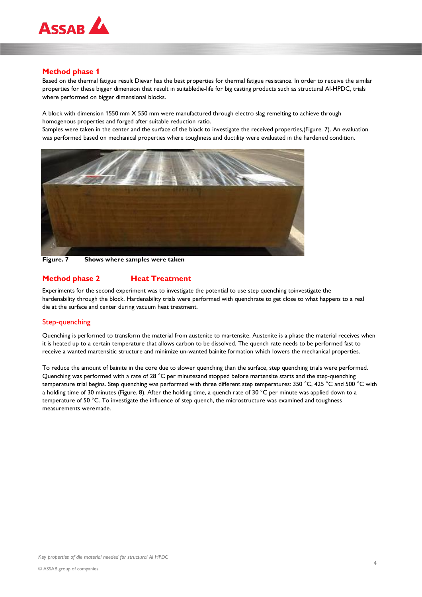

### **Method phase 1**

Based on the thermal fatigue result Dievar has the best properties for thermal fatigue resistance. In order to receive the similar properties for these bigger dimension that result in suitabledie-life for big casting products such as structural Al-HPDC, trials where performed on bigger dimensional blocks.

A block with dimension 1550 mm X 550 mm were manufactured through electro slag remelting to achieve through homogenous properties and forged after suitable reduction ratio.

Samples were taken in the center and the surface of the block to investigate the received properties,(Figure. 7). An evaluation was performed based on mechanical properties where toughness and ductility were evaluated in the hardened condition.



**Figure. 7 Shows where samples were taken**

## **Method phase 2 Heat Treatment**

Experiments for the second experiment was to investigate the potential to use step quenching toinvestigate the hardenability through the block. Hardenability trials were performed with quenchrate to get close to what happens to a real die at the surface and center during vacuum heat treatment.

#### Step-quenching

Quenching is performed to transform the material from austenite to martensite. Austenite is a phase the material receives when it is heated up to a certain temperature that allows carbon to be dissolved. The quench rate needs to be performed fast to receive a wanted martensitic structure and minimize un-wanted bainite formation which lowers the mechanical properties.

To reduce the amount of bainite in the core due to slower quenching than the surface, step quenching trials were performed. Quenching was performed with a rate of 28 °C per minutesand stopped before martensite starts and the step-quenching temperature trial begins. Step quenching was performed with three different step temperatures: 350 °C, 425 °C and 500 °C with a holding time of 30 minutes (Figure. 8). After the holding time, a quench rate of 30 °C per minute was applied down to a temperature of 50 °C. To investigate the influence of step quench, the microstructure was examined and toughness measurements were made.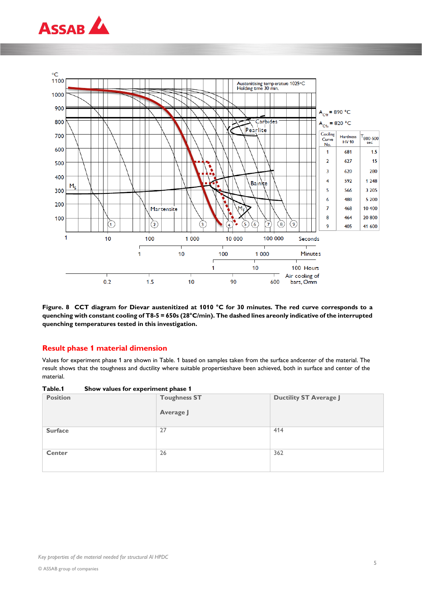



**Figure. 8 CCT diagram for Dievar austenitized at 1010 °C for 30 minutes. The red curve corresponds to a quenching with constant cooling of T8-5 = 650s (28°C/min). The dashed lines areonly indicative of the interrupted quenching temperatures tested in this investigation.**

#### **Result phase 1 material dimension**

Values for experiment phase 1 are shown in Table. 1 based on samples taken from the surface andcenter of the material. The result shows that the toughness and ductility where suitable propertieshave been achieved, both in surface and center of the material.

| Table.1 |  | Show values for experiment phase 1 |  |
|---------|--|------------------------------------|--|
|---------|--|------------------------------------|--|

| <b>Position</b> | <b>Toughness ST</b><br>Average J | <b>Ductility ST Average J</b> |
|-----------------|----------------------------------|-------------------------------|
| <b>Surface</b>  | 27                               | 414                           |
| <b>Center</b>   | 26                               | 362                           |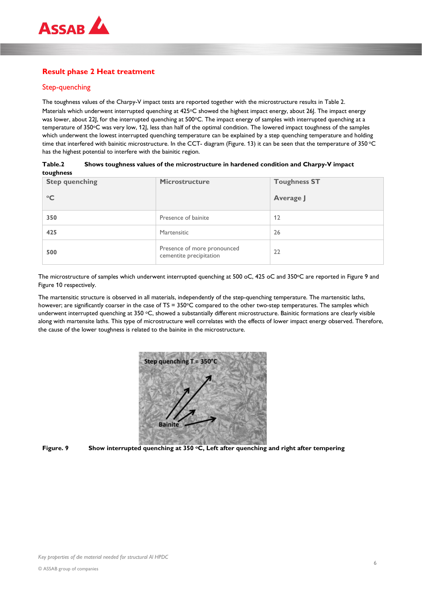

# **Result phase 2 Heat treatment**

## Step-quenching

The toughness values of the Charpy-V impact tests are reported together with the microstructure results in Table 2. Materials which underwent interrupted quenching at 425°C showed the highest impact energy, about 26J. The impact energy was lower, about 22J, for the interrupted quenching at 500°C. The impact energy of samples with interrupted quenching at a temperature of 350oC was very low, 12J, less than half of the optimal condition. The lowered impact toughness of the samples which underwent the lowest interrupted quenching temperature can be explained by a step quenching temperature and holding time that interfered with bainitic microstructure. In the CCT- diagram (Figure. 13) it can be seen that the temperature of 350 °C has the highest potential to interfere with the bainitic region.

| Table.2   | Shows toughness values of the microstructure in hardened condition and Charpy-V impact |
|-----------|----------------------------------------------------------------------------------------|
| toughness |                                                                                        |

| <b>Step quenching</b><br>$\rm ^{\circ}C$ | Microstructure                                         | <b>Toughness ST</b><br>Average J |
|------------------------------------------|--------------------------------------------------------|----------------------------------|
| 350                                      | Presence of bainite                                    | 12                               |
| 425                                      | Martensitic                                            | 26                               |
| 500                                      | Presence of more pronounced<br>cementite precipitation | 22                               |

The microstructure of samples which underwent interrupted quenching at 500 oC, 425 oC and 350°C are reported in Figure 9 and Figure 10 respectively.

The martensitic structure is observed in all materials, independently of the step-quenching temperature. The martensitic laths, however; are significantly coarser in the case of TS = 350°C compared to the other two-step temperatures. The samples which underwent interrupted quenching at  $350$  °C, showed a substantially different microstructure. Bainitic formations are clearly visible along with martensite laths. This type of microstructure well correlates with the effects of lower impact energy observed. Therefore, the cause of the lower toughness is related to the bainite in the microstructure.